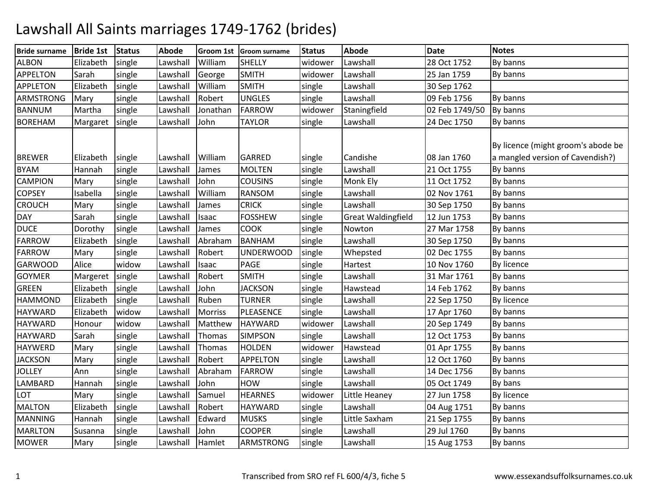## Lawshall All Saints marriages 1749-1762 (brides)

| <b>Bride surname</b> | <b>Bride 1st</b> | <b>Status</b> | <b>Abode</b> |                | Groom 1st Groom surname | <b>Status</b> | <b>Abode</b>              | Date           | <b>Notes</b>                                                           |
|----------------------|------------------|---------------|--------------|----------------|-------------------------|---------------|---------------------------|----------------|------------------------------------------------------------------------|
| <b>ALBON</b>         | Elizabeth        | single        | Lawshall     | William        | <b>SHELLY</b>           | widower       | Lawshall                  | 28 Oct 1752    | By banns                                                               |
| <b>APPELTON</b>      | Sarah            | single        | Lawshall     | George         | <b>SMITH</b>            | widower       | Lawshall                  | 25 Jan 1759    | By banns                                                               |
| <b>APPLETON</b>      | Elizabeth        | single        | Lawshall     | William        | <b>SMITH</b>            | single        | Lawshall                  | 30 Sep 1762    |                                                                        |
| <b>ARMSTRONG</b>     | Mary             | single        | Lawshall     | Robert         | <b>UNGLES</b>           | single        | Lawshall                  | 09 Feb 1756    | By banns                                                               |
| <b>BANNUM</b>        | Martha           | single        | Lawshall     | Jonathan       | <b>FARROW</b>           | widower       | Staningfield              | 02 Feb 1749/50 | By banns                                                               |
| <b>BOREHAM</b>       | Margaret         | single        | Lawshall     | John           | <b>TAYLOR</b>           | single        | Lawshall                  | 24 Dec 1750    | By banns                                                               |
| <b>BREWER</b>        | Elizabeth        | single        | Lawshall     | William        | <b>GARRED</b>           | single        | Candishe                  | 08 Jan 1760    | By licence (might groom's abode be<br>a mangled version of Cavendish?) |
| <b>BYAM</b>          | Hannah           | single        | Lawshall     | James          | <b>MOLTEN</b>           | single        | Lawshall                  | 21 Oct 1755    | By banns                                                               |
| <b>CAMPION</b>       | Mary             | single        | Lawshall     | John           | <b>COUSINS</b>          | single        | Monk Ely                  | 11 Oct 1752    | By banns                                                               |
| <b>COPSEY</b>        | Isabella         | single        | Lawshall     | William        | <b>RANSOM</b>           | single        | Lawshall                  | 02 Nov 1761    | By banns                                                               |
| <b>CROUCH</b>        | Mary             | single        | Lawshall     | James          | <b>CRICK</b>            | single        | Lawshall                  | 30 Sep 1750    | By banns                                                               |
| <b>DAY</b>           | Sarah            | single        | Lawshall     | Isaac          | <b>FOSSHEW</b>          | single        | <b>Great Waldingfield</b> | 12 Jun 1753    | By banns                                                               |
| <b>DUCE</b>          | Dorothy          | single        | Lawshall     | James          | <b>COOK</b>             | single        | Nowton                    | 27 Mar 1758    | By banns                                                               |
| <b>FARROW</b>        | Elizabeth        | single        | Lawshall     | Abraham        | <b>BANHAM</b>           | single        | Lawshall                  | 30 Sep 1750    | By banns                                                               |
| <b>FARROW</b>        | Mary             | single        | Lawshall     | Robert         | <b>UNDERWOOD</b>        | single        | Whepsted                  | 02 Dec 1755    | By banns                                                               |
| <b>GARWOOD</b>       | Alice            | widow         | Lawshall     | Isaac          | PAGE                    | single        | Hartest                   | 10 Nov 1760    | <b>By licence</b>                                                      |
| <b>GOYMER</b>        | Margeret         | single        | Lawshall     | Robert         | <b>SMITH</b>            | single        | Lawshall                  | 31 Mar 1761    | By banns                                                               |
| <b>GREEN</b>         | Elizabeth        | single        | Lawshall     | John           | <b>JACKSON</b>          | single        | Hawstead                  | 14 Feb 1762    | By banns                                                               |
| <b>HAMMOND</b>       | Elizabeth        | single        | Lawshall     | Ruben          | <b>TURNER</b>           | single        | Lawshall                  | 22 Sep 1750    | By licence                                                             |
| <b>HAYWARD</b>       | Elizabeth        | widow         | Lawshall     | <b>Morriss</b> | PLEASENCE               | single        | Lawshall                  | 17 Apr 1760    | By banns                                                               |
| <b>HAYWARD</b>       | Honour           | widow         | Lawshall     | Matthew        | <b>HAYWARD</b>          | widower       | Lawshall                  | 20 Sep 1749    | By banns                                                               |
| <b>HAYWARD</b>       | Sarah            | single        | Lawshall     | Thomas         | <b>SIMPSON</b>          | single        | Lawshall                  | 12 Oct 1753    | By banns                                                               |
| <b>HAYWERD</b>       | Mary             | single        | Lawshall     | Thomas         | <b>HOLDEN</b>           | widower       | Hawstead                  | 01 Apr 1755    | By banns                                                               |
| <b>JACKSON</b>       | Mary             | single        | Lawshall     | Robert         | <b>APPELTON</b>         | single        | Lawshall                  | 12 Oct 1760    | By banns                                                               |
| <b>JOLLEY</b>        | Ann              | single        | Lawshall     | Abraham        | FARROW                  | single        | Lawshall                  | 14 Dec 1756    | By banns                                                               |
| LAMBARD              | Hannah           | single        | Lawshall     | John           | <b>HOW</b>              | single        | Lawshall                  | 05 Oct 1749    | By bans                                                                |
| LOT                  | Mary             | single        | Lawshall     | Samuel         | <b>HEARNES</b>          | widower       | Little Heaney             | 27 Jun 1758    | <b>By licence</b>                                                      |
| <b>MALTON</b>        | Elizabeth        | single        | Lawshall     | Robert         | <b>HAYWARD</b>          | single        | Lawshall                  | 04 Aug 1751    | By banns                                                               |
| <b>MANNING</b>       | Hannah           | single        | Lawshall     | Edward         | <b>MUSKS</b>            | single        | Little Saxham             | 21 Sep 1755    | By banns                                                               |
| <b>MARLTON</b>       | Susanna          | single        | Lawshall     | John           | <b>COOPER</b>           | single        | Lawshall                  | 29 Jul 1760    | By banns                                                               |
| <b>MOWER</b>         | Mary             | single        | Lawshall     | Hamlet         | <b>ARMSTRONG</b>        | single        | Lawshall                  | 15 Aug 1753    | By banns                                                               |